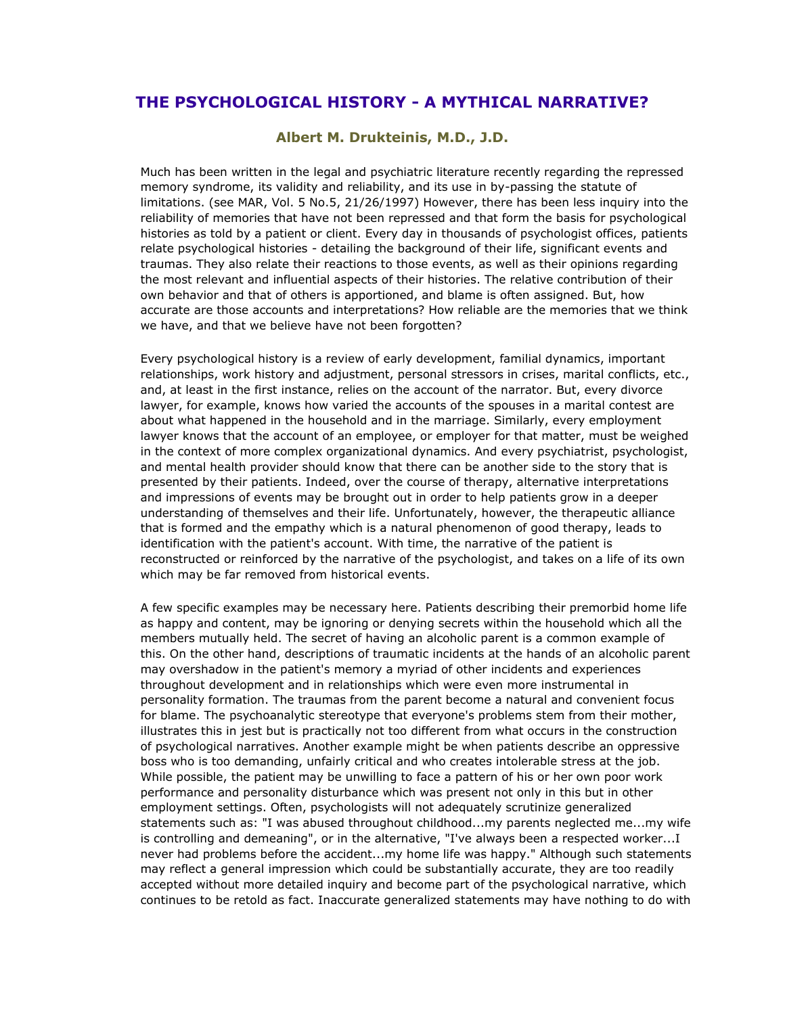## **THE PSYCHOLOGICAL HISTORY - A MYTHICAL NARRATIVE?**

## **Albert M. Drukteinis, M.D., J.D.**

Much has been written in the legal and psychiatric literature recently regarding the repressed memory syndrome, its validity and reliability, and its use in by-passing the statute of limitations. (see MAR, Vol. 5 No.5, 21/26/1997) However, there has been less inquiry into the reliability of memories that have not been repressed and that form the basis for psychological histories as told by a patient or client. Every day in thousands of psychologist offices, patients relate psychological histories - detailing the background of their life, significant events and traumas. They also relate their reactions to those events, as well as their opinions regarding the most relevant and influential aspects of their histories. The relative contribution of their own behavior and that of others is apportioned, and blame is often assigned. But, how accurate are those accounts and interpretations? How reliable are the memories that we think we have, and that we believe have not been forgotten?

Every psychological history is a review of early development, familial dynamics, important relationships, work history and adjustment, personal stressors in crises, marital conflicts, etc., and, at least in the first instance, relies on the account of the narrator. But, every divorce lawyer, for example, knows how varied the accounts of the spouses in a marital contest are about what happened in the household and in the marriage. Similarly, every employment lawyer knows that the account of an employee, or employer for that matter, must be weighed in the context of more complex organizational dynamics. And every psychiatrist, psychologist, and mental health provider should know that there can be another side to the story that is presented by their patients. Indeed, over the course of therapy, alternative interpretations and impressions of events may be brought out in order to help patients grow in a deeper understanding of themselves and their life. Unfortunately, however, the therapeutic alliance that is formed and the empathy which is a natural phenomenon of good therapy, leads to identification with the patient's account. With time, the narrative of the patient is reconstructed or reinforced by the narrative of the psychologist, and takes on a life of its own which may be far removed from historical events.

A few specific examples may be necessary here. Patients describing their premorbid home life as happy and content, may be ignoring or denying secrets within the household which all the members mutually held. The secret of having an alcoholic parent is a common example of this. On the other hand, descriptions of traumatic incidents at the hands of an alcoholic parent may overshadow in the patient's memory a myriad of other incidents and experiences throughout development and in relationships which were even more instrumental in personality formation. The traumas from the parent become a natural and convenient focus for blame. The psychoanalytic stereotype that everyone's problems stem from their mother, illustrates this in jest but is practically not too different from what occurs in the construction of psychological narratives. Another example might be when patients describe an oppressive boss who is too demanding, unfairly critical and who creates intolerable stress at the job. While possible, the patient may be unwilling to face a pattern of his or her own poor work performance and personality disturbance which was present not only in this but in other employment settings. Often, psychologists will not adequately scrutinize generalized statements such as: "I was abused throughout childhood...my parents neglected me...my wife is controlling and demeaning", or in the alternative, "I've always been a respected worker...I never had problems before the accident...my home life was happy." Although such statements may reflect a general impression which could be substantially accurate, they are too readily accepted without more detailed inquiry and become part of the psychological narrative, which continues to be retold as fact. Inaccurate generalized statements may have nothing to do with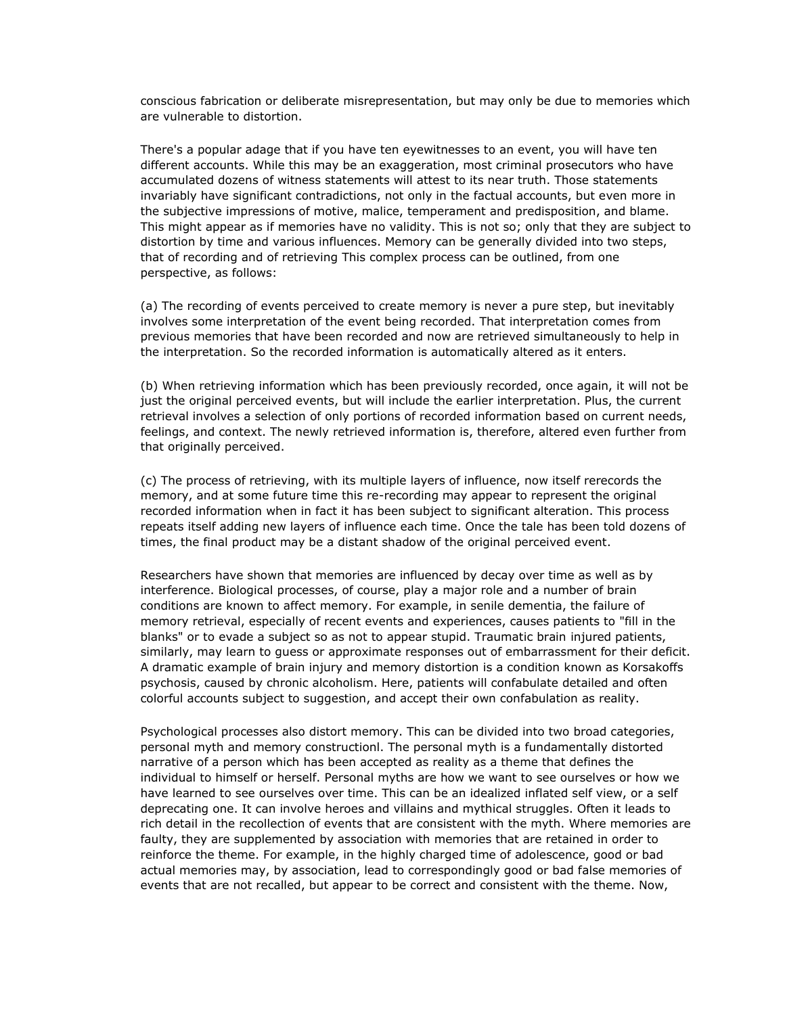conscious fabrication or deliberate misrepresentation, but may only be due to memories which are vulnerable to distortion.

There's a popular adage that if you have ten eyewitnesses to an event, you will have ten different accounts. While this may be an exaggeration, most criminal prosecutors who have accumulated dozens of witness statements will attest to its near truth. Those statements invariably have significant contradictions, not only in the factual accounts, but even more in the subjective impressions of motive, malice, temperament and predisposition, and blame. This might appear as if memories have no validity. This is not so; only that they are subject to distortion by time and various influences. Memory can be generally divided into two steps, that of recording and of retrieving This complex process can be outlined, from one perspective, as follows:

(a) The recording of events perceived to create memory is never a pure step, but inevitably involves some interpretation of the event being recorded. That interpretation comes from previous memories that have been recorded and now are retrieved simultaneously to help in the interpretation. So the recorded information is automatically altered as it enters.

(b) When retrieving information which has been previously recorded, once again, it will not be just the original perceived events, but will include the earlier interpretation. Plus, the current retrieval involves a selection of only portions of recorded information based on current needs, feelings, and context. The newly retrieved information is, therefore, altered even further from that originally perceived.

(c) The process of retrieving, with its multiple layers of influence, now itself rerecords the memory, and at some future time this re-recording may appear to represent the original recorded information when in fact it has been subject to significant alteration. This process repeats itself adding new layers of influence each time. Once the tale has been told dozens of times, the final product may be a distant shadow of the original perceived event.

Researchers have shown that memories are influenced by decay over time as well as by interference. Biological processes, of course, play a major role and a number of brain conditions are known to affect memory. For example, in senile dementia, the failure of memory retrieval, especially of recent events and experiences, causes patients to "fill in the blanks" or to evade a subject so as not to appear stupid. Traumatic brain injured patients, similarly, may learn to guess or approximate responses out of embarrassment for their deficit. A dramatic example of brain injury and memory distortion is a condition known as Korsakoffs psychosis, caused by chronic alcoholism. Here, patients will confabulate detailed and often colorful accounts subject to suggestion, and accept their own confabulation as reality.

Psychological processes also distort memory. This can be divided into two broad categories, personal myth and memory constructionl. The personal myth is a fundamentally distorted narrative of a person which has been accepted as reality as a theme that defines the individual to himself or herself. Personal myths are how we want to see ourselves or how we have learned to see ourselves over time. This can be an idealized inflated self view, or a self deprecating one. It can involve heroes and villains and mythical struggles. Often it leads to rich detail in the recollection of events that are consistent with the myth. Where memories are faulty, they are supplemented by association with memories that are retained in order to reinforce the theme. For example, in the highly charged time of adolescence, good or bad actual memories may, by association, lead to correspondingly good or bad false memories of events that are not recalled, but appear to be correct and consistent with the theme. Now,